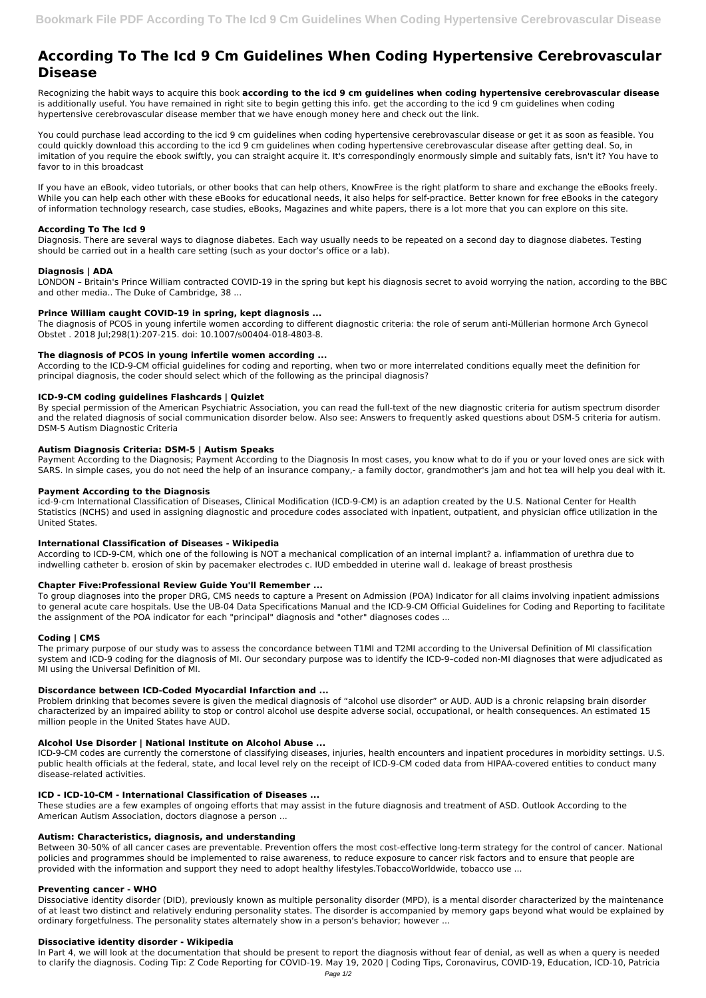# **According To The Icd 9 Cm Guidelines When Coding Hypertensive Cerebrovascular Disease**

Recognizing the habit ways to acquire this book **according to the icd 9 cm guidelines when coding hypertensive cerebrovascular disease** is additionally useful. You have remained in right site to begin getting this info. get the according to the icd 9 cm guidelines when coding hypertensive cerebrovascular disease member that we have enough money here and check out the link.

You could purchase lead according to the icd 9 cm guidelines when coding hypertensive cerebrovascular disease or get it as soon as feasible. You could quickly download this according to the icd 9 cm guidelines when coding hypertensive cerebrovascular disease after getting deal. So, in imitation of you require the ebook swiftly, you can straight acquire it. It's correspondingly enormously simple and suitably fats, isn't it? You have to favor to in this broadcast

If you have an eBook, video tutorials, or other books that can help others, KnowFree is the right platform to share and exchange the eBooks freely. While you can help each other with these eBooks for educational needs, it also helps for self-practice. Better known for free eBooks in the category of information technology research, case studies, eBooks, Magazines and white papers, there is a lot more that you can explore on this site.

## **According To The Icd 9**

Diagnosis. There are several ways to diagnose diabetes. Each way usually needs to be repeated on a second day to diagnose diabetes. Testing should be carried out in a health care setting (such as your doctor's office or a lab).

## **Diagnosis | ADA**

LONDON – Britain's Prince William contracted COVID-19 in the spring but kept his diagnosis secret to avoid worrying the nation, according to the BBC and other media.. The Duke of Cambridge, 38 ...

## **Prince William caught COVID-19 in spring, kept diagnosis ...**

The diagnosis of PCOS in young infertile women according to different diagnostic criteria: the role of serum anti-Müllerian hormone Arch Gynecol Obstet . 2018 Jul;298(1):207-215. doi: 10.1007/s00404-018-4803-8.

## **The diagnosis of PCOS in young infertile women according ...**

According to the ICD-9-CM official guidelines for coding and reporting, when two or more interrelated conditions equally meet the definition for principal diagnosis, the coder should select which of the following as the principal diagnosis?

## **ICD-9-CM coding guidelines Flashcards | Quizlet**

By special permission of the American Psychiatric Association, you can read the full-text of the new diagnostic criteria for autism spectrum disorder and the related diagnosis of social communication disorder below. Also see: Answers to frequently asked questions about DSM-5 criteria for autism. DSM-5 Autism Diagnostic Criteria

## **Autism Diagnosis Criteria: DSM-5 | Autism Speaks**

Payment According to the Diagnosis; Payment According to the Diagnosis In most cases, you know what to do if you or your loved ones are sick with SARS. In simple cases, you do not need the help of an insurance company,- a family doctor, grandmother's jam and hot tea will help you deal with it.

## **Payment According to the Diagnosis**

icd-9-cm International Classification of Diseases, Clinical Modification (ICD-9-CM) is an adaption created by the U.S. National Center for Health Statistics (NCHS) and used in assigning diagnostic and procedure codes associated with inpatient, outpatient, and physician office utilization in the United States.

## **International Classification of Diseases - Wikipedia**

According to ICD-9-CM, which one of the following is NOT a mechanical complication of an internal implant? a. inflammation of urethra due to indwelling catheter b. erosion of skin by pacemaker electrodes c. IUD embedded in uterine wall d. leakage of breast prosthesis

## **Chapter Five:Professional Review Guide You'll Remember ...**

To group diagnoses into the proper DRG, CMS needs to capture a Present on Admission (POA) Indicator for all claims involving inpatient admissions to general acute care hospitals. Use the UB-04 Data Specifications Manual and the ICD-9-CM Official Guidelines for Coding and Reporting to facilitate the assignment of the POA indicator for each "principal" diagnosis and "other" diagnoses codes ...

## **Coding | CMS**

The primary purpose of our study was to assess the concordance between T1MI and T2MI according to the Universal Definition of MI classification system and ICD-9 coding for the diagnosis of MI. Our secondary purpose was to identify the ICD-9–coded non-MI diagnoses that were adjudicated as MI using the Universal Definition of MI.

## **Discordance between ICD-Coded Myocardial Infarction and ...**

Problem drinking that becomes severe is given the medical diagnosis of "alcohol use disorder" or AUD. AUD is a chronic relapsing brain disorder characterized by an impaired ability to stop or control alcohol use despite adverse social, occupational, or health consequences. An estimated 15 million people in the United States have AUD.

#### **Alcohol Use Disorder | National Institute on Alcohol Abuse ...**

ICD-9-CM codes are currently the cornerstone of classifying diseases, injuries, health encounters and inpatient procedures in morbidity settings. U.S. public health officials at the federal, state, and local level rely on the receipt of ICD-9-CM coded data from HIPAA-covered entities to conduct many disease-related activities.

#### **ICD - ICD-10-CM - International Classification of Diseases ...**

These studies are a few examples of ongoing efforts that may assist in the future diagnosis and treatment of ASD. Outlook According to the American Autism Association, doctors diagnose a person ...

#### **Autism: Characteristics, diagnosis, and understanding**

Between 30-50% of all cancer cases are preventable. Prevention offers the most cost-effective long-term strategy for the control of cancer. National policies and programmes should be implemented to raise awareness, to reduce exposure to cancer risk factors and to ensure that people are provided with the information and support they need to adopt healthy lifestyles.TobaccoWorldwide, tobacco use ...

#### **Preventing cancer - WHO**

Dissociative identity disorder (DID), previously known as multiple personality disorder (MPD), is a mental disorder characterized by the maintenance of at least two distinct and relatively enduring personality states. The disorder is accompanied by memory gaps beyond what would be explained by ordinary forgetfulness. The personality states alternately show in a person's behavior; however ...

#### **Dissociative identity disorder - Wikipedia**

In Part 4, we will look at the documentation that should be present to report the diagnosis without fear of denial, as well as when a query is needed to clarify the diagnosis. Coding Tip: Z Code Reporting for COVID-19. May 19, 2020 | Coding Tips, Coronavirus, COVID-19, Education, ICD-10, Patricia